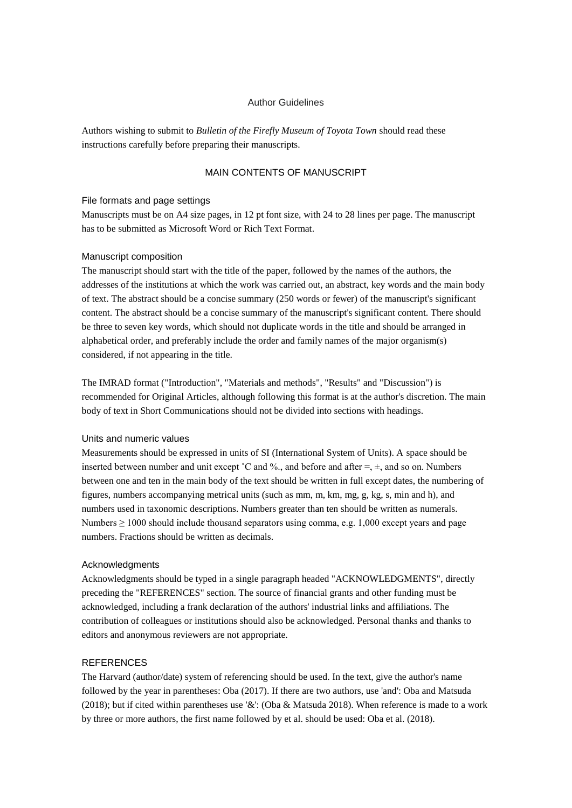### Author Guidelines

Authors wishing to submit to *Bulletin of the Firefly Museum of Toyota Town* should read these instructions carefully before preparing their manuscripts.

# MAIN CONTENTS OF MANUSCRIPT

### File formats and page settings

Manuscripts must be on A4 size pages, in 12 pt font size, with 24 to 28 lines per page. The manuscript has to be submitted as Microsoft Word or Rich Text Format.

## Manuscript composition

The manuscript should start with the title of the paper, followed by the names of the authors, the addresses of the institutions at which the work was carried out, an abstract, key words and the main body of text. The abstract should be a concise summary (250 words or fewer) of the manuscript's significant content. The abstract should be a concise summary of the manuscript's significant content. There should be three to seven key words, which should not duplicate words in the title and should be arranged in alphabetical order, and preferably include the order and family names of the major organism(s) considered, if not appearing in the title.

The IMRAD format ("Introduction", "Materials and methods", "Results" and "Discussion") is recommended for Original Articles, although following this format is at the author's discretion. The main body of text in Short Communications should not be divided into sections with headings.

## Units and numeric values

Measurements should be expressed in units of SI (International System of Units). A space should be inserted between number and unit except ˚C and %., and before and after =, ±, and so on. Numbers between one and ten in the main body of the text should be written in full except dates, the numbering of figures, numbers accompanying metrical units (such as mm, m, km, mg, g, kg, s, min and h), and numbers used in taxonomic descriptions. Numbers greater than ten should be written as numerals. Numbers  $\geq 1000$  should include thousand separators using comma, e.g. 1,000 except years and page numbers. Fractions should be written as decimals.

#### Acknowledgments

Acknowledgments should be typed in a single paragraph headed "ACKNOWLEDGMENTS", directly preceding the "REFERENCES" section. The source of financial grants and other funding must be acknowledged, including a frank declaration of the authors' industrial links and affiliations. The contribution of colleagues or institutions should also be acknowledged. Personal thanks and thanks to editors and anonymous reviewers are not appropriate.

### **REFERENCES**

The Harvard (author/date) system of referencing should be used. In the text, give the author's name followed by the year in parentheses: Oba (2017). If there are two authors, use 'and': Oba and Matsuda (2018); but if cited within parentheses use '&': (Oba & Matsuda 2018). When reference is made to a work by three or more authors, the first name followed by et al. should be used: Oba et al. (2018).